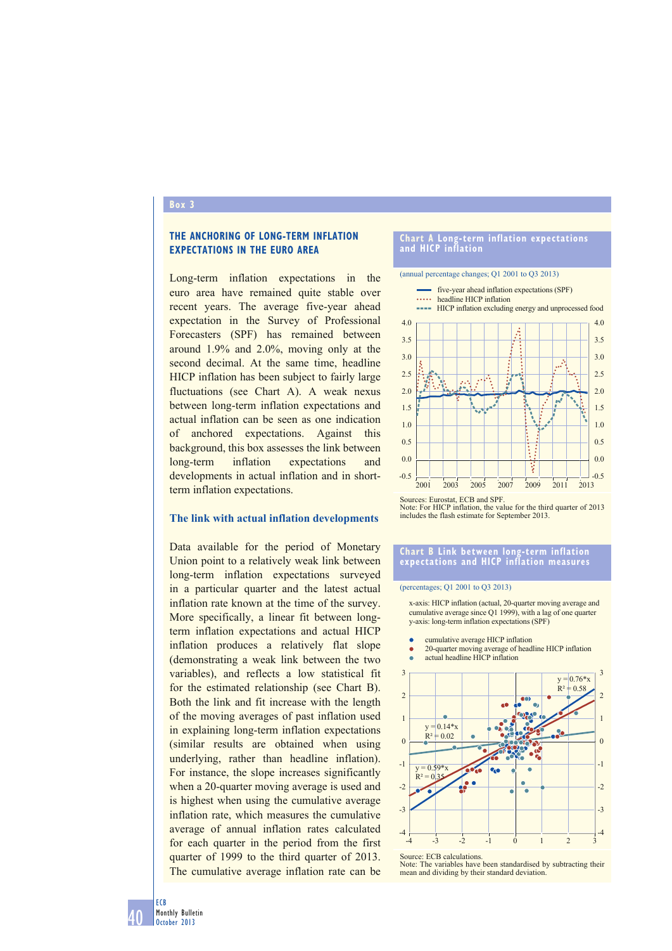#### **Box 3**

## **THE ANCHORING OF LONG-TERM INFLATION EXPECTATIONS IN THE EURO AREA**

Long-term inflation expectations in the euro area have remained quite stable over recent years. The average five-year ahead expectation in the Survey of Professional Forecasters (SPF) has remained between around 1.9% and 2.0%, moving only at the second decimal. At the same time, headline HICP inflation has been subject to fairly large fluctuations (see Chart A). A weak nexus between long-term inflation expectations and actual inflation can be seen as one indication of anchored expectations. Against this background, this box assesses the link between long-term inflation expectations and developments in actual inflation and in shortterm inflation expectations.

### **The link with actual inflation developments**

Data available for the period of Monetary Union point to a relatively weak link between long-term inflation expectations surveyed in a particular quarter and the latest actual inflation rate known at the time of the survey. More specifically, a linear fit between longterm inflation expectations and actual HICP inflation produces a relatively flat slope (demonstrating a weak link between the two variables), and reflects a low statistical fit for the estimated relationship (see Chart B). Both the link and fit increase with the length of the moving averages of past inflation used in explaining long-term inflation expectations (similar results are obtained when using underlying, rather than headline inflation). For instance, the slope increases significantly when a 20-quarter moving average is used and is highest when using the cumulative average inflation rate, which measures the cumulative average of annual inflation rates calculated for each quarter in the period from the first quarter of 1999 to the third quarter of 2013. The cumulative average inflation rate can be

#### **Chart A Long-term inflation expectations and HICP inflation**

#### (annual percentage changes; Q1 2001 to Q3 2013)



Sources: Eurostat, ECB and SPF. Note: For HICP inflation, the value for the third quarter of 2013 includes the flash estimate for September 2013.

#### **Chart B Link between long-term inflation expectations and HICP inflation measures**

#### (percentages; Q1 2001 to Q3 2013)

Ċ

x-axis: HICP inflation (actual, 20-quarter moving average and cumulative average since Q1 1999), with a lag of one quarter y-axis: long-term inflation expectations (SPF)

- cumulative average HICP inflation
- 20-quarter moving average of headline HICP inflation
- actual headline HICP inflation ò



Source: ECB calculations.

Note: The variables have been standardised by subtracting their mean and dividing by their standard deviation.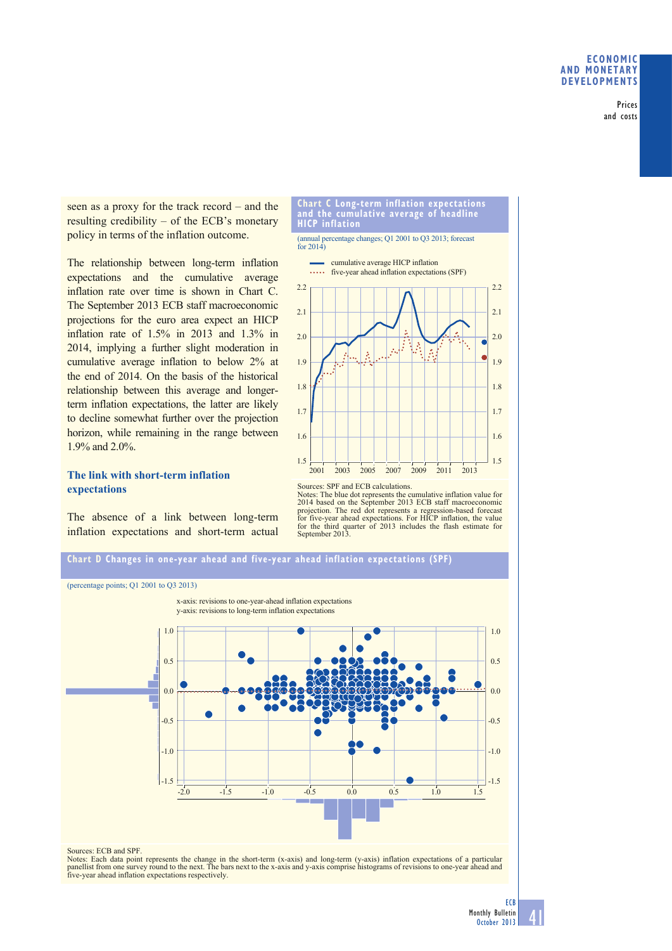Prices and costs

seen as a proxy for the track record – and the resulting credibility – of the ECB's monetary policy in terms of the inflation outcome.

The relationship between long-term inflation expectations and the cumulative average inflation rate over time is shown in Chart C. The September 2013 ECB staff macroeconomic projections for the euro area expect an HICP inflation rate of 1.5% in 2013 and 1.3% in 2014, implying a further slight moderation in cumulative average inflation to below 2% at the end of 2014. On the basis of the historical relationship between this average and longerterm inflation expectations, the latter are likely to decline somewhat further over the projection horizon, while remaining in the range between 1.9% and 2.0%.

# **The link with short-term inflation expectations**

The absence of a link between long-term inflation expectations and short-term actual



**Chart C Long-term inflation expectations** 

Sources: SPF and ECB calculations. Notes: The blue dot represents the cumulative inflation value for 2014 based on the September 2013 ECB staff macroeconomic<br>projection. The red dot represents a regression-based forecast<br>for five-year ahead expectations. For HICP inflation, the value<br>for the third quarter of 2013 includes



#### Sources: ECB and SPF.

Notes: Each data point represents the change in the short-term (x-axis) and long-term (y-axis) inflation expectations of a particular<br>panellist from one survey round to the next. The bars next to the x-axis and y-axis comp